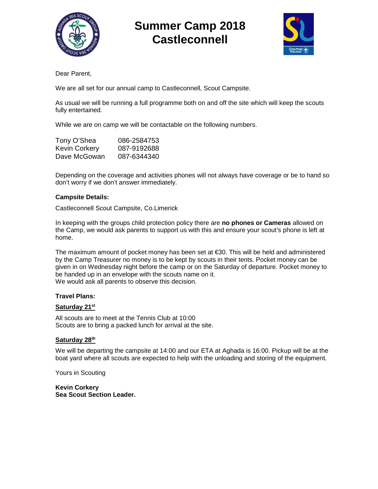

# **Summer Camp 2018 Castleconnell**



Dear Parent,

We are all set for our annual camp to Castleconnell, Scout Campsite.

As usual we will be running a full programme both on and off the site which will keep the scouts fully entertained.

While we are on camp we will be contactable on the following numbers.

| Tony O'Shea   | 086-2584753 |
|---------------|-------------|
| Kevin Corkery | 087-9192688 |
| Dave McGowan  | 087-6344340 |

Depending on the coverage and activities phones will not always have coverage or be to hand so don't worry if we don't answer immediately.

#### **Campsite Details:**

Castleconnell Scout Campsite, Co.Limerick

In keeping with the groups child protection policy there are **no phones or Cameras** allowed on the Camp, we would ask parents to support us with this and ensure your scout's phone is left at home.

The maximum amount of pocket money has been set at €30. This will be held and administered by the Camp Treasurer no money is to be kept by scouts in their tents. Pocket money can be given in on Wednesday night before the camp or on the Saturday of departure. Pocket money to be handed up in an envelope with the scouts name on it. We would ask all parents to observe this decision.

#### **Travel Plans:**

#### **Saturday 21st**

All scouts are to meet at the Tennis Club at 10:00 Scouts are to bring a packed lunch for arrival at the site.

#### **Saturday 28th**

We will be departing the campsite at 14:00 and our ETA at Aghada is 16:00. Pickup will be at the boat yard where all scouts are expected to help with the unloading and storing of the equipment.

Yours in Scouting

**Kevin Corkery Sea Scout Section Leader.**